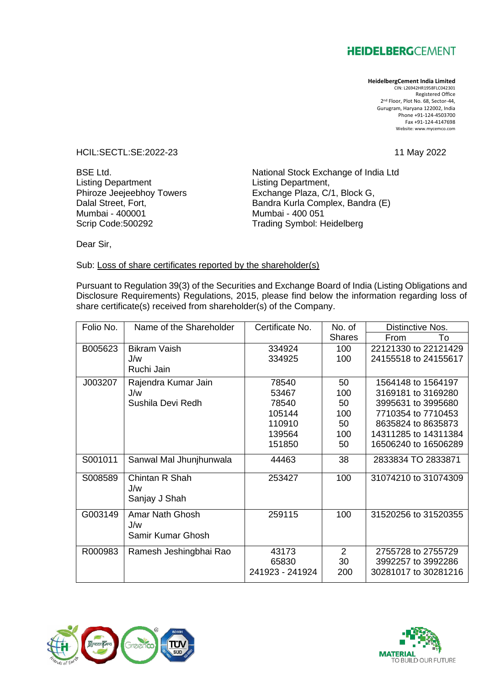## **HEIDELBERG**CEMENT

## **HeidelbergCement India Limited**

CIN: L26942HR1958FLC042301 Registered Office 2 nd Floor, Plot No. 68, Sector-44, Gurugram, Haryana 122002, India Phone +91-124-4503700 Fax +91-124-4147698 Website: www.mycemco.com

HCIL:SECTL:SE:2022-23 11 May 2022

Listing Department<br>
Phiroze Jeejeebhoy Towers<br>
Exchange Plaza, C/ Scrip Code:500292 Trading Symbol: Heidelberg

BSE Ltd.<br>
Listing Department<br>
Listing Department,<br>
Listing Department, Phiroze Jeejeebhoy Towers Exchange Plaza, C/1, Block G,<br>Dalal Street, Fort, Bandra Kurla Complex, Bandra Dalal Street, Fort, **Bandra Kurla Complex, Bandra (E)**<br>Mumbai - 400001 Mumbai - 400 051 Mumbai - 400 051

Dear Sir,

## Sub: Loss of share certificates reported by the shareholder(s)

Pursuant to Regulation 39(3) of the Securities and Exchange Board of India (Listing Obligations and Disclosure Requirements) Regulations, 2015, please find below the information regarding loss of share certificate(s) received from shareholder(s) of the Company.

| Folio No. | Name of the Shareholder                     | Certificate No. | No. of         | Distinctive Nos.     |
|-----------|---------------------------------------------|-----------------|----------------|----------------------|
|           |                                             |                 | <b>Shares</b>  | To<br>From           |
| B005623   | <b>Bikram Vaish</b>                         | 334924          | 100            | 22121330 to 22121429 |
|           | J/w                                         | 334925          | 100            | 24155518 to 24155617 |
|           | Ruchi Jain                                  |                 |                |                      |
| J003207   | Rajendra Kumar Jain                         | 78540           | 50             | 1564148 to 1564197   |
|           | J/w                                         | 53467           | 100            | 3169181 to 3169280   |
|           | Sushila Devi Redh                           | 78540           | 50             | 3995631 to 3995680   |
|           |                                             | 105144          | 100            | 7710354 to 7710453   |
|           |                                             | 110910          | 50             | 8635824 to 8635873   |
|           |                                             | 139564          | 100            | 14311285 to 14311384 |
|           |                                             | 151850          | 50             | 16506240 to 16506289 |
| S001011   | Sanwal Mal Jhunjhunwala                     | 44463           | 38             | 2833834 TO 2833871   |
| S008589   | Chintan R Shah<br>J/w<br>Sanjay J Shah      | 253427          | 100            | 31074210 to 31074309 |
| G003149   | Amar Nath Ghosh<br>J/w<br>Samir Kumar Ghosh | 259115          | 100            | 31520256 to 31520355 |
| R000983   | Ramesh Jeshingbhai Rao                      | 43173           | $\overline{2}$ | 2755728 to 2755729   |
|           |                                             | 65830           | 30             | 3992257 to 3992286   |
|           |                                             | 241923 - 241924 | 200            | 30281017 to 30281216 |